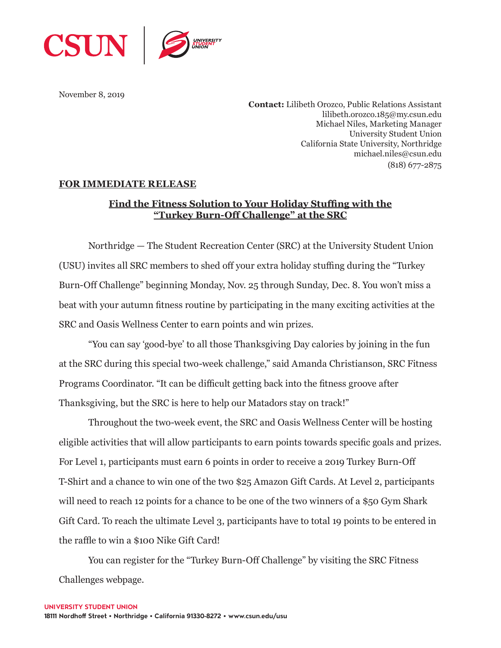

November 8, 2019

**Contact:** Lilibeth Orozco, Public Relations Assistant lilibeth.orozco.185@my.csun.edu Michael Niles, Marketing Manager University Student Union California State University, Northridge michael.niles@csun.edu (818) 677-2875

## **FOR IMMEDIATE RELEASE**

## **Find the Fitness Solution to Your Holiday Stuffing with the "Turkey Burn-Off Challenge" at the SRC**

Northridge — The Student Recreation Center (SRC) at the University Student Union (USU) invites all SRC members to shed off your extra holiday stuffing during the "Turkey Burn-Off Challenge" beginning Monday, Nov. 25 through Sunday, Dec. 8. You won't miss a beat with your autumn fitness routine by participating in the many exciting activities at the SRC and Oasis Wellness Center to earn points and win prizes.

"You can say 'good-bye' to all those Thanksgiving Day calories by joining in the fun at the SRC during this special two-week challenge," said Amanda Christianson, SRC Fitness Programs Coordinator. "It can be difficult getting back into the fitness groove after Thanksgiving, but the SRC is here to help our Matadors stay on track!"

Throughout the two-week event, the SRC and Oasis Wellness Center will be hosting eligible activities that will allow participants to earn points towards specific goals and prizes. For Level 1, participants must earn 6 points in order to receive a 2019 Turkey Burn-Off T-Shirt and a chance to win one of the two \$25 Amazon Gift Cards. At Level 2, participants will need to reach 12 points for a chance to be one of the two winners of a \$50 Gym Shark Gift Card. To reach the ultimate Level 3, participants have to total 19 points to be entered in the raffle to win a \$100 Nike Gift Card!

You can register for the "Turkey Burn-Off Challenge" by visiting the SRC Fitness Challenges webpage.